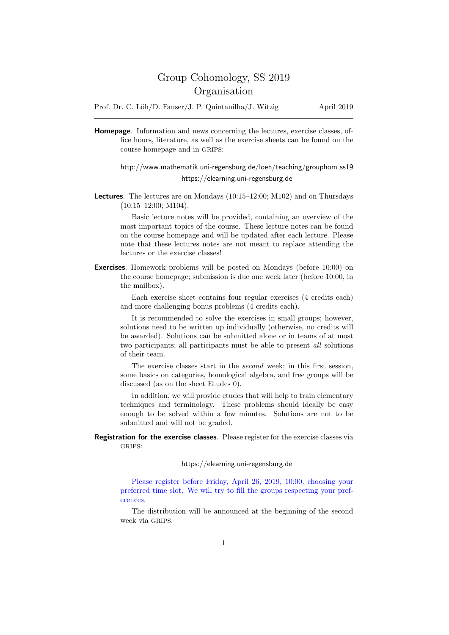# Group Cohomology, SS 2019 Organisation

Prof. Dr. C. Löh/D. Fauser/J. P. Quintanilha/J. Witzig April 2019

Homepage. Information and news concerning the lectures, exercise classes, office hours, literature, as well as the exercise sheets can be found on the course homepage and in GRIPS:

## http://www.mathematik.uni-regensburg.de/loeh/teaching/grouphom ss19 https://elearning.uni-regensburg.de

Lectures. The lectures are on Mondays (10:15–12:00; M102) and on Thursdays (10:15–12:00; M104).

Basic lecture notes will be provided, containing an overview of the most important topics of the course. These lecture notes can be found on the course homepage and will be updated after each lecture. Please note that these lectures notes are not meant to replace attending the lectures or the exercise classes!

Exercises. Homework problems will be posted on Mondays (before 10:00) on the course homepage; submission is due one week later (before 10:00, in the mailbox).

Each exercise sheet contains four regular exercises (4 credits each) and more challenging bonus problems (4 credits each).

It is recommended to solve the exercises in small groups; however, solutions need to be written up individually (otherwise, no credits will be awarded). Solutions can be submitted alone or in teams of at most two participants; all participants must be able to present all solutions of their team.

The exercise classes start in the second week; in this first session, some basics on categories, homological algebra, and free groups will be discussed (as on the sheet Etudes 0).

In addition, we will provide etudes that will help to train elementary techniques and terminology. These problems should ideally be easy enough to be solved within a few minutes. Solutions are not to be submitted and will not be graded.

Registration for the exercise classes. Please register for the exercise classes via GRIPS:

#### https://elearning.uni-regensburg.de

Please register before Friday, April 26, 2019, 10:00, choosing your preferred time slot. We will try to fill the groups respecting your preferences.

The distribution will be announced at the beginning of the second week via GRIPS.